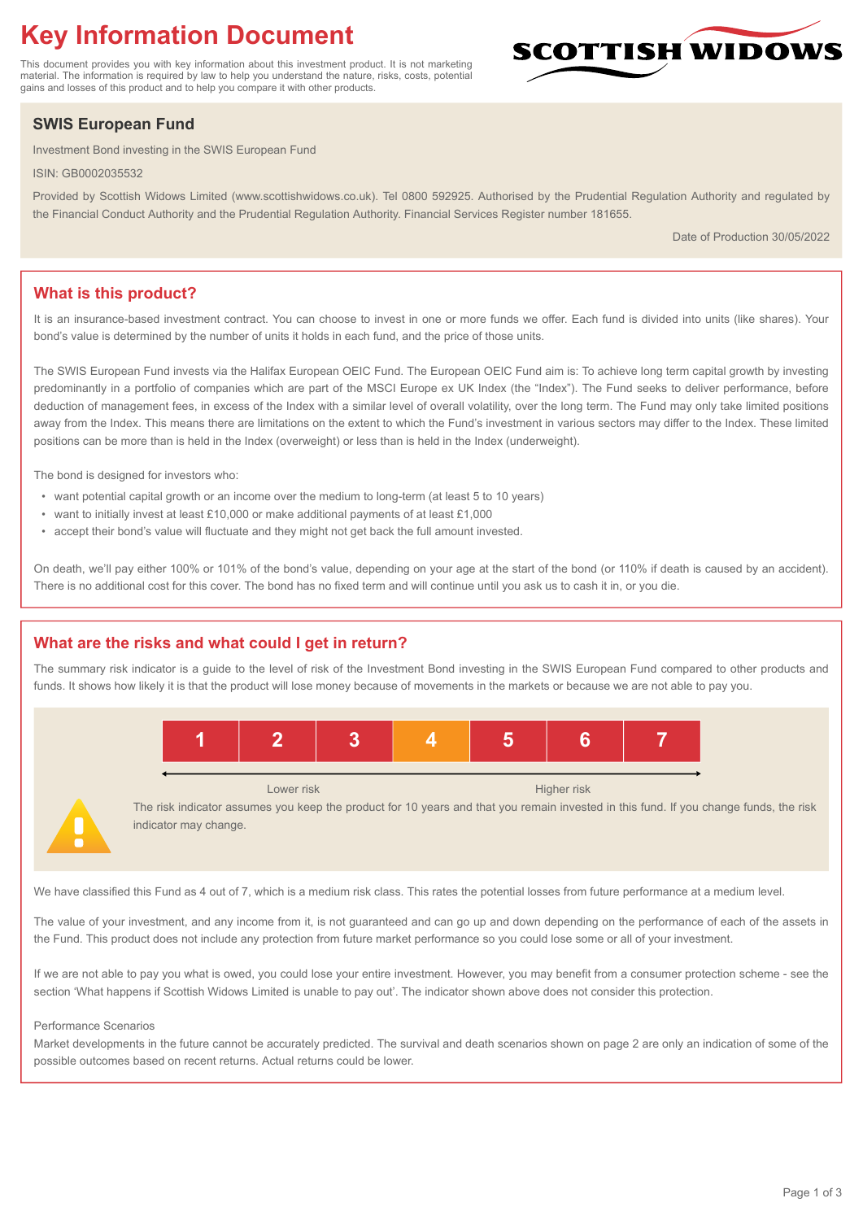# **Key Information Document**

This document provides you with key information about this investment product. It is not marketing material. The information is required by law to help you understand the nature, risks, costs, potential gains and losses of this product and to help you compare it with other products.

## **SWIS European Fund**

Investment Bond investing in the SWIS European Fund

ISIN: GB0002035532

Provided by Scottish Widows Limited (www.scottishwidows.co.uk). Tel 0800 592925. Authorised by the Prudential Regulation Authority and regulated by the Financial Conduct Authority and the Prudential Regulation Authority. Financial Services Register number 181655.

Date of Production 30/05/2022

**SCOTTISH WIDOW** 

## **What is this product?**

It is an insurance-based investment contract. You can choose to invest in one or more funds we offer. Each fund is divided into units (like shares). Your bond's value is determined by the number of units it holds in each fund, and the price of those units.

The SWIS European Fund invests via the Halifax European OEIC Fund. The European OEIC Fund aim is: To achieve long term capital growth by investing predominantly in a portfolio of companies which are part of the MSCI Europe ex UK Index (the "Index"). The Fund seeks to deliver performance, before deduction of management fees, in excess of the Index with a similar level of overall volatility, over the long term. The Fund may only take limited positions away from the Index. This means there are limitations on the extent to which the Fund's investment in various sectors may differ to the Index. These limited positions can be more than is held in the Index (overweight) or less than is held in the Index (underweight).

The bond is designed for investors who:

- want potential capital growth or an income over the medium to long-term (at least 5 to 10 years)
- want to initially invest at least £10,000 or make additional payments of at least £1,000
- accept their bond's value will fluctuate and they might not get back the full amount invested.

On death, we'll pay either 100% or 101% of the bond's value, depending on your age at the start of the bond (or 110% if death is caused by an accident). There is no additional cost for this cover. The bond has no fixed term and will continue until you ask us to cash it in, or you die.

## **What are the risks and what could I get in return?**

The summary risk indicator is a guide to the level of risk of the Investment Bond investing in the SWIS European Fund compared to other products and funds. It shows how likely it is that the product will lose money because of movements in the markets or because we are not able to pay you.



The risk indicator assumes you keep the product for 10 years and that you remain invested in this fund. If you change funds, the risk indicator may change.

We have classified this Fund as 4 out of 7, which is a medium risk class. This rates the potential losses from future performance at a medium level.

The value of your investment, and any income from it, is not guaranteed and can go up and down depending on the performance of each of the assets in the Fund. This product does not include any protection from future market performance so you could lose some or all of your investment.

If we are not able to pay you what is owed, you could lose your entire investment. However, you may benefit from a consumer protection scheme - see the section 'What happens if Scottish Widows Limited is unable to pay out'. The indicator shown above does not consider this protection.

#### Performance Scenarios

Market developments in the future cannot be accurately predicted. The survival and death scenarios shown on page 2 are only an indication of some of the possible outcomes based on recent returns. Actual returns could be lower.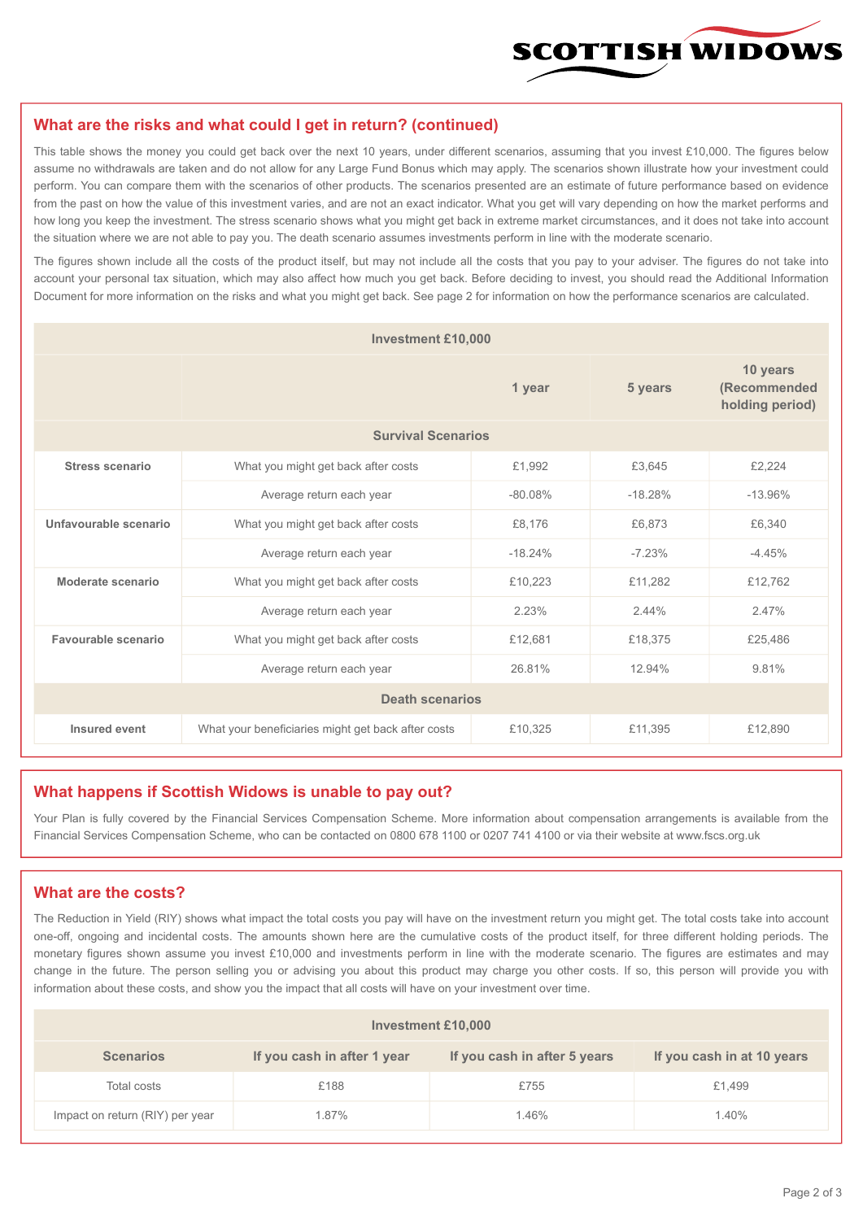

#### **What are the risks and what could I get in return? (continued)**

This table shows the money you could get back over the next 10 years, under different scenarios, assuming that you invest £10,000. The figures below assume no withdrawals are taken and do not allow for any Large Fund Bonus which may apply. The scenarios shown illustrate how your investment could perform. You can compare them with the scenarios of other products. The scenarios presented are an estimate of future performance based on evidence from the past on how the value of this investment varies, and are not an exact indicator. What you get will vary depending on how the market performs and how long you keep the investment. The stress scenario shows what you might get back in extreme market circumstances, and it does not take into account the situation where we are not able to pay you. The death scenario assumes investments perform in line with the moderate scenario.

The figures shown include all the costs of the product itself, but may not include all the costs that you pay to your adviser. The figures do not take into account your personal tax situation, which may also affect how much you get back. Before deciding to invest, you should read the Additional Information Document for more information on the risks and what you might get back. See page 2 for information on how the performance scenarios are calculated.

| <b>Investment £10,000</b> |                                                    |           |                                             |           |  |  |
|---------------------------|----------------------------------------------------|-----------|---------------------------------------------|-----------|--|--|
|                           |                                                    | 5 years   | 10 years<br>(Recommended<br>holding period) |           |  |  |
| <b>Survival Scenarios</b> |                                                    |           |                                             |           |  |  |
| <b>Stress scenario</b>    | £1,992<br>What you might get back after costs      |           | £3,645                                      | £2,224    |  |  |
|                           | $-80.08%$<br>Average return each year              |           | $-18.28%$                                   | $-13.96%$ |  |  |
| Unfavourable scenario     | What you might get back after costs<br>£8,176      |           | £6,873                                      | £6,340    |  |  |
|                           | Average return each year                           | $-18.24%$ | $-7.23%$                                    | $-4.45%$  |  |  |
| Moderate scenario         | What you might get back after costs                | £10,223   | £11,282                                     | £12,762   |  |  |
|                           | Average return each year                           | 2.23%     | 2.44%                                       | 2.47%     |  |  |
| Favourable scenario       | What you might get back after costs                | £12,681   | £18,375                                     | £25,486   |  |  |
| Average return each year  |                                                    | 26.81%    | 12.94%                                      | 9.81%     |  |  |
| <b>Death scenarios</b>    |                                                    |           |                                             |           |  |  |
| Insured event             | What your beneficiaries might get back after costs | £10,325   | £11,395                                     | £12,890   |  |  |

#### **What happens if Scottish Widows is unable to pay out?**

Your Plan is fully covered by the Financial Services Compensation Scheme. More information about compensation arrangements is available from the Financial Services Compensation Scheme, who can be contacted on 0800 678 1100 or 0207 741 4100 or via their website at www.fscs.org.uk

## **What are the costs?**

The Reduction in Yield (RIY) shows what impact the total costs you pay will have on the investment return you might get. The total costs take into account one-off, ongoing and incidental costs. The amounts shown here are the cumulative costs of the product itself, for three different holding periods. The monetary figures shown assume you invest £10,000 and investments perform in line with the moderate scenario. The figures are estimates and may change in the future. The person selling you or advising you about this product may charge you other costs. If so, this person will provide you with information about these costs, and show you the impact that all costs will have on your investment over time.

| <b>Investment £10,000</b>       |                             |                              |                            |  |  |  |
|---------------------------------|-----------------------------|------------------------------|----------------------------|--|--|--|
| <b>Scenarios</b>                | If you cash in after 1 year | If you cash in after 5 years | If you cash in at 10 years |  |  |  |
| Total costs                     | £188                        | £755                         | £1,499                     |  |  |  |
| Impact on return (RIY) per year | 1.87%                       | 1.46%                        | 1.40%                      |  |  |  |